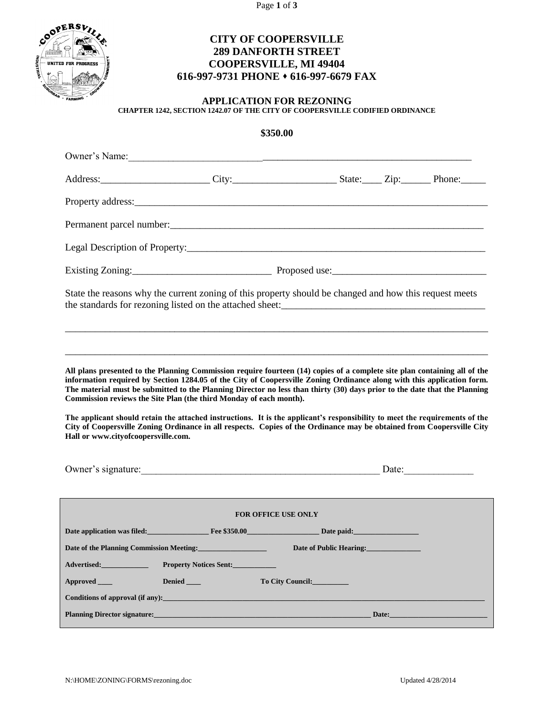Page **1** of **3**



# **CITY OF COOPERSVILLE 289 DANFORTH STREET COOPERSVILLE, MI 49404 616-997-9731 PHONE 616-997-6679 FAX**

### **APPLICATION FOR REZONING CHAPTER 1242, SECTION 1242.07 OF THE CITY OF COOPERSVILLE CODIFIED ORDINANCE**

# **\$350.00**

|                                                                                                                                                                                                                                                                                                                                                                                                                                                        | Owner's Name: 2008. [2016] Decree 2016. [2016] Decree 2016. [2016] Decree 2016. [2016] Decree 2016. [2016] Decree 2016. [2016] Decree 2016. [2016] Decree 2016. [2016] Decree 2016. [2016] Decree 2016. [2016] Decree 2016. [2 |                                           |       |  |
|--------------------------------------------------------------------------------------------------------------------------------------------------------------------------------------------------------------------------------------------------------------------------------------------------------------------------------------------------------------------------------------------------------------------------------------------------------|--------------------------------------------------------------------------------------------------------------------------------------------------------------------------------------------------------------------------------|-------------------------------------------|-------|--|
|                                                                                                                                                                                                                                                                                                                                                                                                                                                        |                                                                                                                                                                                                                                |                                           |       |  |
|                                                                                                                                                                                                                                                                                                                                                                                                                                                        |                                                                                                                                                                                                                                |                                           |       |  |
|                                                                                                                                                                                                                                                                                                                                                                                                                                                        |                                                                                                                                                                                                                                |                                           |       |  |
|                                                                                                                                                                                                                                                                                                                                                                                                                                                        |                                                                                                                                                                                                                                |                                           |       |  |
|                                                                                                                                                                                                                                                                                                                                                                                                                                                        |                                                                                                                                                                                                                                |                                           |       |  |
| State the reasons why the current zoning of this property should be changed and how this request meets                                                                                                                                                                                                                                                                                                                                                 |                                                                                                                                                                                                                                |                                           |       |  |
|                                                                                                                                                                                                                                                                                                                                                                                                                                                        |                                                                                                                                                                                                                                |                                           |       |  |
| All plans presented to the Planning Commission require fourteen (14) copies of a complete site plan containing all of the<br>information required by Section 1284.05 of the City of Coopersville Zoning Ordinance along with this application form.<br>The material must be submitted to the Planning Director no less than thirty (30) days prior to the date that the Planning<br>Commission reviews the Site Plan (the third Monday of each month). |                                                                                                                                                                                                                                |                                           |       |  |
| The applicant should retain the attached instructions. It is the applicant's responsibility to meet the requirements of the<br>City of Coopersville Zoning Ordinance in all respects. Copies of the Ordinance may be obtained from Coopersville City<br>Hall or www.cityofcoopersville.com.                                                                                                                                                            |                                                                                                                                                                                                                                |                                           |       |  |
|                                                                                                                                                                                                                                                                                                                                                                                                                                                        | Owner's signature: Date: Date:                                                                                                                                                                                                 |                                           |       |  |
| <b>FOR OFFICE USE ONLY</b>                                                                                                                                                                                                                                                                                                                                                                                                                             |                                                                                                                                                                                                                                |                                           |       |  |
|                                                                                                                                                                                                                                                                                                                                                                                                                                                        | Date application was filed: Fig. 5350.00 Fee \$350.00 Fig. 2.1 Date paid:                                                                                                                                                      |                                           |       |  |
|                                                                                                                                                                                                                                                                                                                                                                                                                                                        |                                                                                                                                                                                                                                | <b>Example 12 Date of Public Hearing:</b> |       |  |
| <b>Advertised:</b>                                                                                                                                                                                                                                                                                                                                                                                                                                     | <b>Property Notices Sent:</b>                                                                                                                                                                                                  |                                           |       |  |
| Approved___                                                                                                                                                                                                                                                                                                                                                                                                                                            | Denied ______                                                                                                                                                                                                                  | To City Council:                          |       |  |
| Conditions of approval (if any):                                                                                                                                                                                                                                                                                                                                                                                                                       |                                                                                                                                                                                                                                |                                           |       |  |
| <b>Planning Director signature:</b>                                                                                                                                                                                                                                                                                                                                                                                                                    |                                                                                                                                                                                                                                |                                           | Date: |  |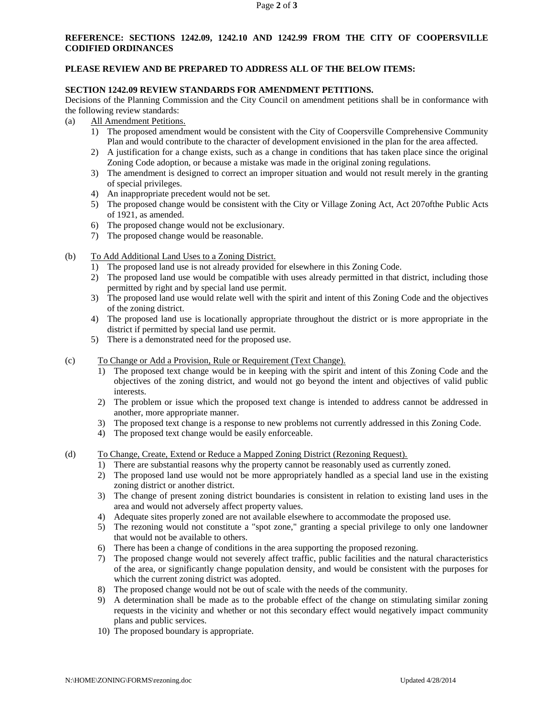## **REFERENCE: SECTIONS 1242.09, 1242.10 AND 1242.99 FROM THE CITY OF COOPERSVILLE CODIFIED ORDINANCES**

#### **PLEASE REVIEW AND BE PREPARED TO ADDRESS ALL OF THE BELOW ITEMS:**

#### **SECTION 1242.09 REVIEW STANDARDS FOR AMENDMENT PETITIONS.**

Decisions of the Planning Commission and the City Council on amendment petitions shall be in conformance with the following review standards:

- (a) All Amendment Petitions.
	- 1) The proposed amendment would be consistent with the City of Coopersville Comprehensive Community Plan and would contribute to the character of development envisioned in the plan for the area affected.
	- 2) A justification for a change exists, such as a change in conditions that has taken place since the original Zoning Code adoption, or because a mistake was made in the original zoning regulations.
	- 3) The amendment is designed to correct an improper situation and would not result merely in the granting of special privileges.
	- 4) An inappropriate precedent would not be set.
	- 5) The proposed change would be consistent with the City or Village Zoning Act, Act 207ofthe Public Acts of 1921, as amended.
	- 6) The proposed change would not be exclusionary.
	- 7) The proposed change would be reasonable.
- (b) To Add Additional Land Uses to a Zoning District.
	- 1) The proposed land use is not already provided for elsewhere in this Zoning Code.
	- 2) The proposed land use would be compatible with uses already permitted in that district, including those permitted by right and by special land use permit.
	- 3) The proposed land use would relate well with the spirit and intent of this Zoning Code and the objectives of the zoning district.
	- 4) The proposed land use is locationally appropriate throughout the district or is more appropriate in the district if permitted by special land use permit.
	- 5) There is a demonstrated need for the proposed use.
- (c) To Change or Add a Provision, Rule or Requirement (Text Change).
	- 1) The proposed text change would be in keeping with the spirit and intent of this Zoning Code and the objectives of the zoning district, and would not go beyond the intent and objectives of valid public interests.
	- 2) The problem or issue which the proposed text change is intended to address cannot be addressed in another, more appropriate manner.
	- 3) The proposed text change is a response to new problems not currently addressed in this Zoning Code.
	- 4) The proposed text change would be easily enforceable.
- (d) To Change, Create, Extend or Reduce a Mapped Zoning District (Rezoning Request).
	- 1) There are substantial reasons why the property cannot be reasonably used as currently zoned.
	- 2) The proposed land use would not be more appropriately handled as a special land use in the existing zoning district or another district.
	- 3) The change of present zoning district boundaries is consistent in relation to existing land uses in the area and would not adversely affect property values.
	- 4) Adequate sites properly zoned are not available elsewhere to accommodate the proposed use.
	- 5) The rezoning would not constitute a "spot zone," granting a special privilege to only one landowner that would not be available to others.
	- 6) There has been a change of conditions in the area supporting the proposed rezoning.
	- 7) The proposed change would not severely affect traffic, public facilities and the natural characteristics of the area, or significantly change population density, and would be consistent with the purposes for which the current zoning district was adopted.
	- 8) The proposed change would not be out of scale with the needs of the community.
	- 9) A determination shall be made as to the probable effect of the change on stimulating similar zoning requests in the vicinity and whether or not this secondary effect would negatively impact community plans and public services.
	- 10) The proposed boundary is appropriate.